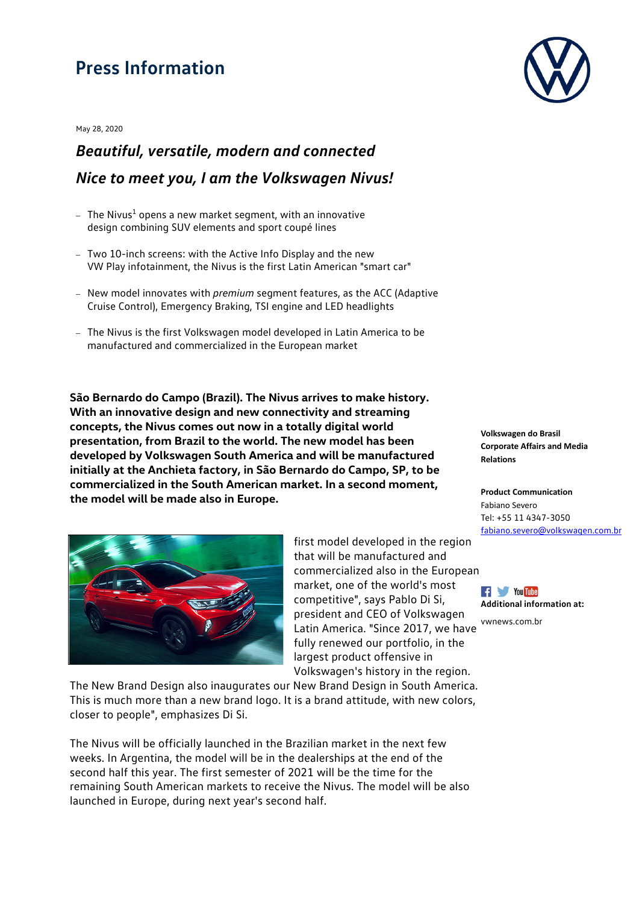## **Press Information**

May 28, 2020

## *Beautiful, versatile, modern and connected Nice to meet you, I am the Volkswagen Nivus!*

- $-$  The Nivus<sup>1</sup> opens a new market segment, with an innovative design combining SUV elements and sport coupé lines
- Two 10-inch screens: with the Active Info Display and the new VW Play infotainment, the Nivus is the first Latin American "smart car"
- New model innovates with *premium* segment features, as the ACC (Adaptive Cruise Control), Emergency Braking, TSI engine and LED headlights
- The Nivus is the first Volkswagen model developed in Latin America to be manufactured and commercialized in the European market

**São Bernardo do Campo (Brazil). The Nivus arrives to make history. With an innovative design and new connectivity and streaming concepts, the Nivus comes out now in a totally digital world presentation, from Brazil to the world. The new model has been developed by Volkswagen South America and will be manufactured initially at the Anchieta factory, in São Bernardo do Campo, SP, to be commercialized in the South American market. In a second moment, the model will be made also in Europe.**



first model developed in the region that will be manufactured and commercialized also in the European market, one of the world's most competitive", says Pablo Di Si, president and CEO of Volkswagen Latin America. "Since 2017, we have fully renewed our portfolio, in the largest product offensive in Volkswagen's history in the region.

The New Brand Design also inaugurates our New Brand Design in South America. This is much more than a new brand logo. It is a brand attitude, with new colors, closer to people", emphasizes Di Si.

The Nivus will be officially launched in the Brazilian market in the next few weeks. In Argentina, the model will be in the dealerships at the end of the second half this year. The first semester of 2021 will be the time for the remaining South American markets to receive the Nivus. The model will be also launched in Europe, during next year's second half.



**Volkswagen do Brasil Corporate Affairs and Media Relations**

**Product Communication** Fabiano Severo Tel: +55 11 4347-3050 [fabiano.severo@volkswagen.com.br](mailto:fabiano.severo@volkswagen.com.br)



[vwnews.com.br](https://www.volkswagen-media-services.com/)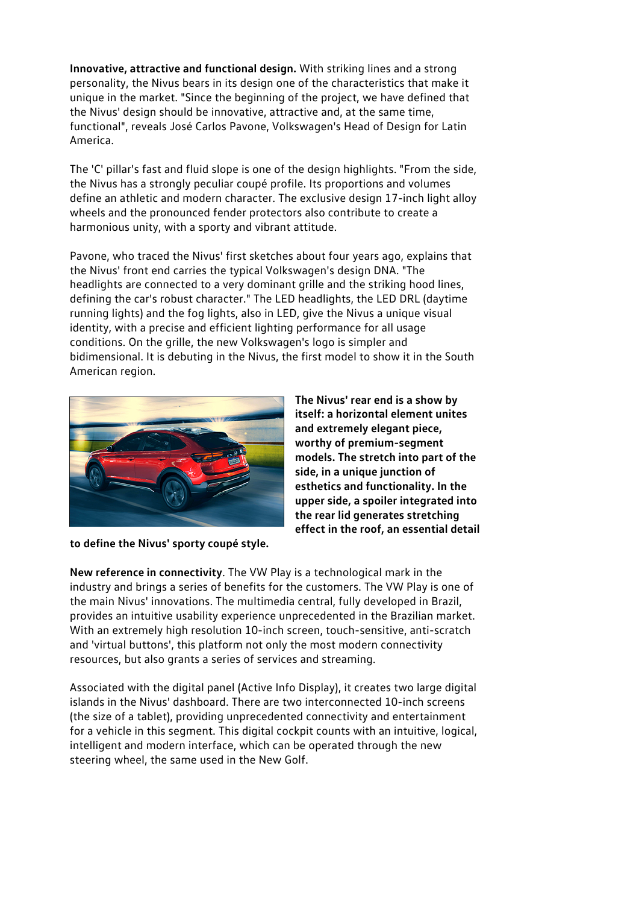**Innovative, attractive and functional design.** With striking lines and a strong personality, the Nivus bears in its design one of the characteristics that make it unique in the market. "Since the beginning of the project, we have defined that the Nivus' design should be innovative, attractive and, at the same time, functional", reveals José Carlos Pavone, Volkswagen's Head of Design for Latin America.

The 'C' pillar's fast and fluid slope is one of the design highlights. "From the side, the Nivus has a strongly peculiar coupé profile. Its proportions and volumes define an athletic and modern character. The exclusive design 17-inch light alloy wheels and the pronounced fender protectors also contribute to create a harmonious unity, with a sporty and vibrant attitude.

Pavone, who traced the Nivus' first sketches about four years ago, explains that the Nivus' front end carries the typical Volkswagen's design DNA. "The headlights are connected to a very dominant grille and the striking hood lines, defining the car's robust character." The LED headlights, the LED DRL (daytime running lights) and the fog lights, also in LED, give the Nivus a unique visual identity, with a precise and efficient lighting performance for all usage conditions. On the grille, the new Volkswagen's logo is simpler and bidimensional. It is debuting in the Nivus, the first model to show it in the South American region.



**to define the Nivus' sporty coupé style.**

**The Nivus' rear end is a show by itself: a horizontal element unites and extremely elegant piece, worthy of premium-segment models. The stretch into part of the side, in a unique junction of esthetics and functionality. In the upper side, a spoiler integrated into the rear lid generates stretching effect in the roof, an essential detail**

**New reference in connectivity**. The VW Play is a technological mark in the industry and brings a series of benefits for the customers. The VW Play is one of the main Nivus' innovations. The multimedia central, fully developed in Brazil, provides an intuitive usability experience unprecedented in the Brazilian market. With an extremely high resolution 10-inch screen, touch-sensitive, anti-scratch and 'virtual buttons', this platform not only the most modern connectivity resources, but also grants a series of services and streaming.

Associated with the digital panel (Active Info Display), it creates two large digital islands in the Nivus' dashboard. There are two interconnected 10-inch screens (the size of a tablet), providing unprecedented connectivity and entertainment for a vehicle in this segment. This digital cockpit counts with an intuitive, logical, intelligent and modern interface, which can be operated through the new steering wheel, the same used in the New Golf.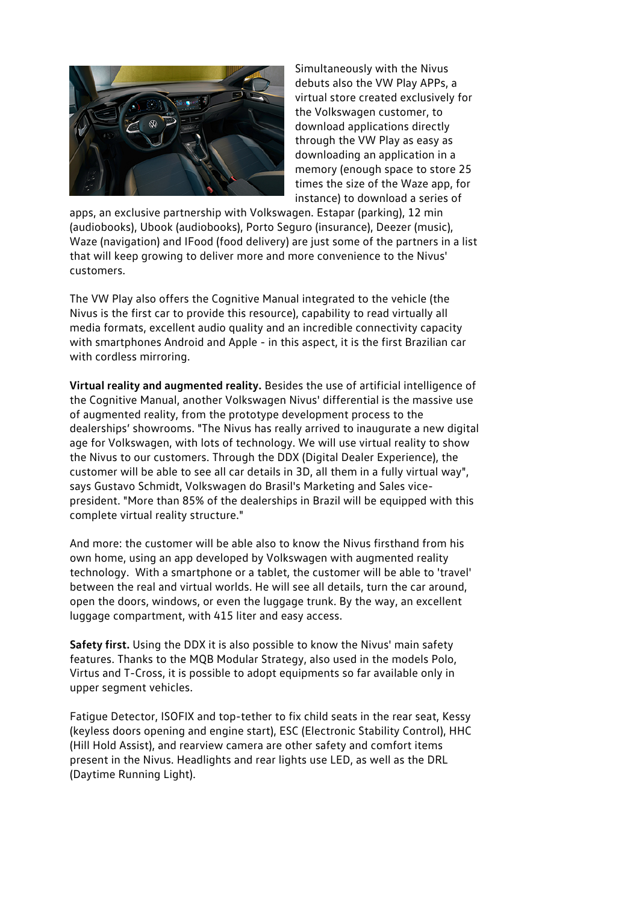

Simultaneously with the Nivus debuts also the VW Play APPs, a virtual store created exclusively for the Volkswagen customer, to download applications directly through the VW Play as easy as downloading an application in a memory (enough space to store 25 times the size of the Waze app, for instance) to download a series of

apps, an exclusive partnership with Volkswagen. Estapar (parking), 12 min (audiobooks), Ubook (audiobooks), Porto Seguro (insurance), Deezer (music), Waze (navigation) and IFood (food delivery) are just some of the partners in a list that will keep growing to deliver more and more convenience to the Nivus' customers.

The VW Play also offers the Cognitive Manual integrated to the vehicle (the Nivus is the first car to provide this resource), capability to read virtually all media formats, excellent audio quality and an incredible connectivity capacity with smartphones Android and Apple - in this aspect, it is the first Brazilian car with cordless mirroring.

**Virtual reality and augmented reality.** Besides the use of artificial intelligence of the Cognitive Manual, another Volkswagen Nivus' differential is the massive use of augmented reality, from the prototype development process to the dealerships' showrooms. "The Nivus has really arrived to inaugurate a new digital age for Volkswagen, with lots of technology. We will use virtual reality to show the Nivus to our customers. Through the DDX (Digital Dealer Experience), the customer will be able to see all car details in 3D, all them in a fully virtual way", says Gustavo Schmidt, Volkswagen do Brasil's Marketing and Sales vicepresident. "More than 85% of the dealerships in Brazil will be equipped with this complete virtual reality structure."

And more: the customer will be able also to know the Nivus firsthand from his own home, using an app developed by Volkswagen with augmented reality technology. With a smartphone or a tablet, the customer will be able to 'travel' between the real and virtual worlds. He will see all details, turn the car around, open the doors, windows, or even the luggage trunk. By the way, an excellent luggage compartment, with 415 liter and easy access.

**Safety first.** Using the DDX it is also possible to know the Nivus' main safety features. Thanks to the MQB Modular Strategy, also used in the models Polo, Virtus and T-Cross, it is possible to adopt equipments so far available only in upper segment vehicles.

Fatigue Detector, ISOFIX and top-tether to fix child seats in the rear seat, Kessy (keyless doors opening and engine start), ESC (Electronic Stability Control), HHC (Hill Hold Assist), and rearview camera are other safety and comfort items present in the Nivus. Headlights and rear lights use LED, as well as the DRL (Daytime Running Light).